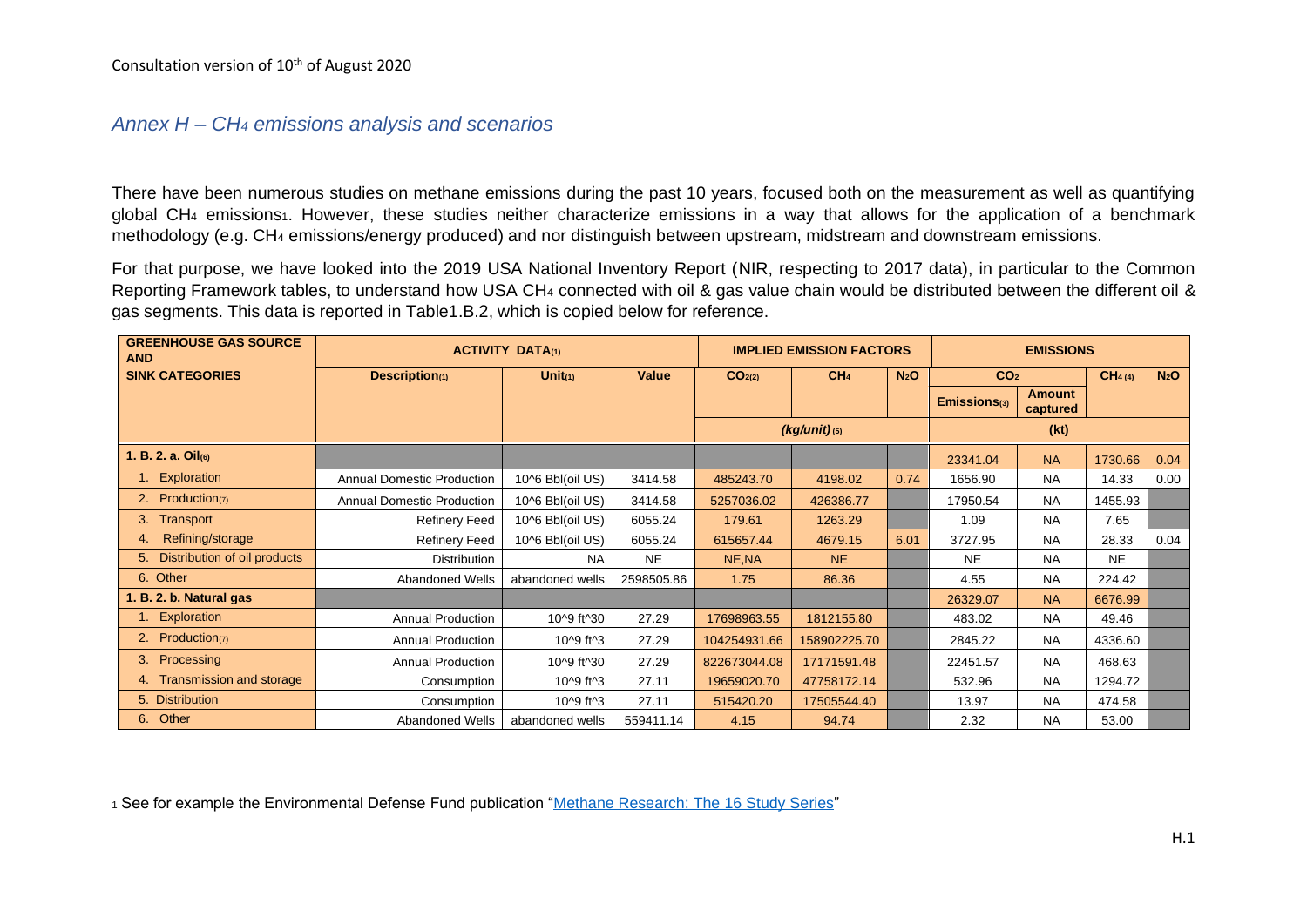## *Annex H – CH<sup>4</sup> emissions analysis and scenarios*

There have been numerous studies on methane emissions during the past 10 years, focused both on the measurement as well as quantifying global CH<sub>4</sub> emissions<sub>1</sub>. However, these studies neither characterize emissions in a way that allows for the application of a benchmark methodology (e.g. CH<sup>4</sup> emissions/energy produced) and nor distinguish between upstream, midstream and downstream emissions.

For that purpose, we have looked into the 2019 USA National Inventory Report (NIR, respecting to 2017 data), in particular to the Common Reporting Framework tables, to understand how USA CH<sup>4</sup> connected with oil & gas value chain would be distributed between the different oil & gas segments. This data is reported in Table1.B.2, which is copied below for reference.

| <b>GREENHOUSE GAS SOURCE</b><br><b>AND</b> | <b>ACTIVITY DATA(1)</b>           |                  |            | <b>IMPLIED EMISSION FACTORS</b> |                   |                  | <b>EMISSIONS</b>         |                           |                  |      |
|--------------------------------------------|-----------------------------------|------------------|------------|---------------------------------|-------------------|------------------|--------------------------|---------------------------|------------------|------|
| <b>SINK CATEGORIES</b>                     | Description(1)                    | Unit $(1)$       | Value      | CO <sub>2(2)</sub>              | CH <sub>4</sub>   | N <sub>2</sub> O | CO <sub>2</sub>          | CH <sub>4</sub> (4)       | N <sub>2</sub> O |      |
|                                            |                                   |                  |            |                                 |                   |                  | Emission <sub>S(3)</sub> | <b>Amount</b><br>captured |                  |      |
|                                            |                                   |                  |            |                                 | $(Kg/unit)_{(5)}$ | (kt)             |                          |                           |                  |      |
| 1. B. 2. a. Oil(6)                         |                                   |                  |            |                                 |                   |                  | 23341.04                 | <b>NA</b>                 | 1730.66          | 0.04 |
| 1. Exploration                             | <b>Annual Domestic Production</b> | 10^6 Bbl(oil US) | 3414.58    | 485243.70                       | 4198.02           | 0.74             | 1656.90                  | <b>NA</b>                 | 14.33            | 0.00 |
| 2. Production( $7$ )                       | <b>Annual Domestic Production</b> | 10^6 Bbl(oil US) | 3414.58    | 5257036.02                      | 426386.77         |                  | 17950.54                 | <b>NA</b>                 | 1455.93          |      |
| 3. Transport                               | Refinery Feed                     | 10^6 Bbl(oil US) | 6055.24    | 179.61                          | 1263.29           |                  | 1.09                     | <b>NA</b>                 | 7.65             |      |
| Refining/storage<br>4.                     | <b>Refinery Feed</b>              | 10^6 Bbl(oil US) | 6055.24    | 615657.44                       | 4679.15           | 6.01             | 3727.95                  | <b>NA</b>                 | 28.33            | 0.04 |
| 5. Distribution of oil products            | <b>Distribution</b>               | <b>NA</b>        | <b>NE</b>  | NE, NA                          | <b>NE</b>         |                  | <b>NE</b>                | <b>NA</b>                 | <b>NE</b>        |      |
| 6. Other                                   | Abandoned Wells                   | abandoned wells  | 2598505.86 | 1.75                            | 86.36             |                  | 4.55                     | <b>NA</b>                 | 224.42           |      |
| 1. B. 2. b. Natural gas                    |                                   |                  |            |                                 |                   |                  | 26329.07                 | <b>NA</b>                 | 6676.99          |      |
| 1. Exploration                             | <b>Annual Production</b>          | 10^9 ft^30       | 27.29      | 17698963.55                     | 1812155.80        |                  | 483.02                   | <b>NA</b>                 | 49.46            |      |
| 2. Production(7)                           | Annual Production                 | 10^9 ft^3        | 27.29      | 104254931.66                    | 158902225.70      |                  | 2845.22                  | <b>NA</b>                 | 4336.60          |      |
| 3. Processing                              | <b>Annual Production</b>          | 10^9 ft^30       | 27.29      | 822673044.08                    | 17171591.48       |                  | 22451.57                 | <b>NA</b>                 | 468.63           |      |
| 4. Transmission and storage                | Consumption                       | 10^9 ft^3        | 27.11      | 19659020.70                     | 47758172.14       |                  | 532.96                   | <b>NA</b>                 | 1294.72          |      |
| 5. Distribution                            | Consumption                       | 10^9 ft^3        | 27.11      | 515420.20                       | 17505544.40       |                  | 13.97                    | <b>NA</b>                 | 474.58           |      |
| 6. Other                                   | Abandoned Wells                   | abandoned wells  | 559411.14  | 4.15                            | 94.74             |                  | 2.32                     | <b>NA</b>                 | 53.00            |      |

<sup>1</sup> See for example the Environmental Defense Fund publication ["Methane Research: The 16 Study Series"](https://www.edf.org/climate/methane-research-series-16-studies)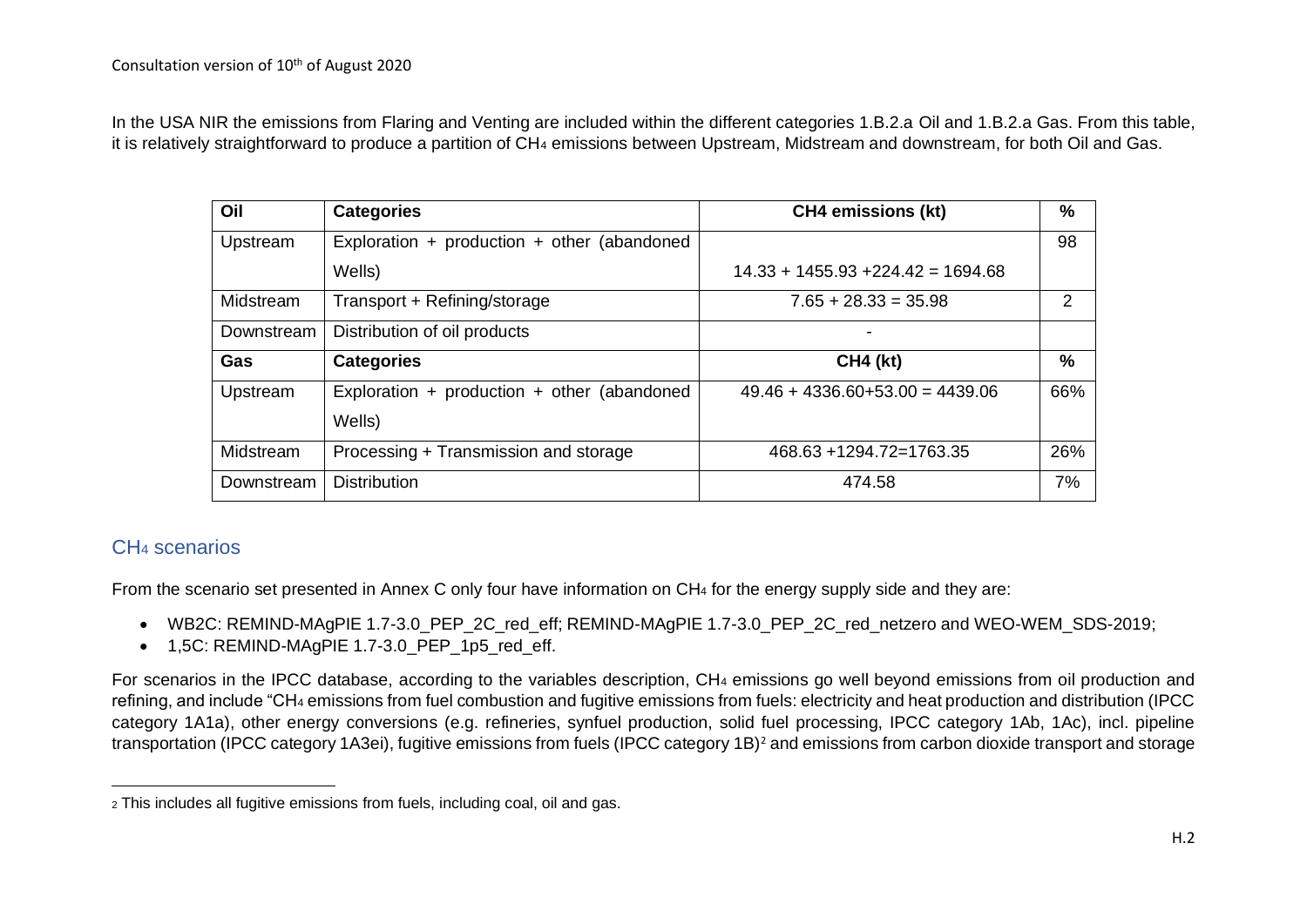In the USA NIR the emissions from Flaring and Venting are included within the different categories 1.B.2.a Oil and 1.B.2.a Gas. From this table, it is relatively straightforward to produce a partition of CH<sub>4</sub> emissions between Upstream, Midstream and downstream, for both Oil and Gas.

| Oil        | <b>Categories</b>                                     | <b>CH4 emissions (kt)</b>            | %             |
|------------|-------------------------------------------------------|--------------------------------------|---------------|
| Upstream   | Exploration + production + other (abandoned           |                                      | 98            |
|            | Wells)                                                | $14.33 + 1455.93 + 224.42 = 1694.68$ |               |
| Midstream  | Transport + Refining/storage                          | $7.65 + 28.33 = 35.98$               | $\mathcal{P}$ |
| Downstream | Distribution of oil products                          |                                      |               |
| Gas        | <b>Categories</b>                                     | <b>CH4 (kt)</b>                      | %             |
| Upstream   | Exploration + production + other (abandoned<br>Wells) | $49.46 + 4336.60 + 53.00 = 4439.06$  | 66%           |
| Midstream  | Processing + Transmission and storage                 | 468.63 +1294.72=1763.35              | 26%           |
| Downstream | <b>Distribution</b>                                   | 474.58                               | 7%            |

## CH<sup>4</sup> scenarios

From the scenario set presented in Annex C only four have information on CH<sup>4</sup> for the energy supply side and they are:

- WB2C: REMIND-MAgPIE 1.7-3.0 PEP 2C red eff; REMIND-MAgPIE 1.7-3.0 PEP 2C red netzero and WEO-WEM SDS-2019;
- 1,5C: REMIND-MAgPIE 1.7-3.0 PEP 1p5 red eff.

For scenarios in the IPCC database, according to the variables description, CH<sup>4</sup> emissions go well beyond emissions from oil production and refining, and include "CH<sup>4</sup> emissions from fuel combustion and fugitive emissions from fuels: electricity and heat production and distribution (IPCC category 1A1a), other energy conversions (e.g. refineries, synfuel production, solid fuel processing, IPCC category 1Ab, 1Ac), incl. pipeline transportation (IPCC category 1A3ei), fugitive emissions from fuels (IPCC category 1B)<sup>2</sup> and emissions from carbon dioxide transport and storage

<sup>2</sup> This includes all fugitive emissions from fuels, including coal, oil and gas.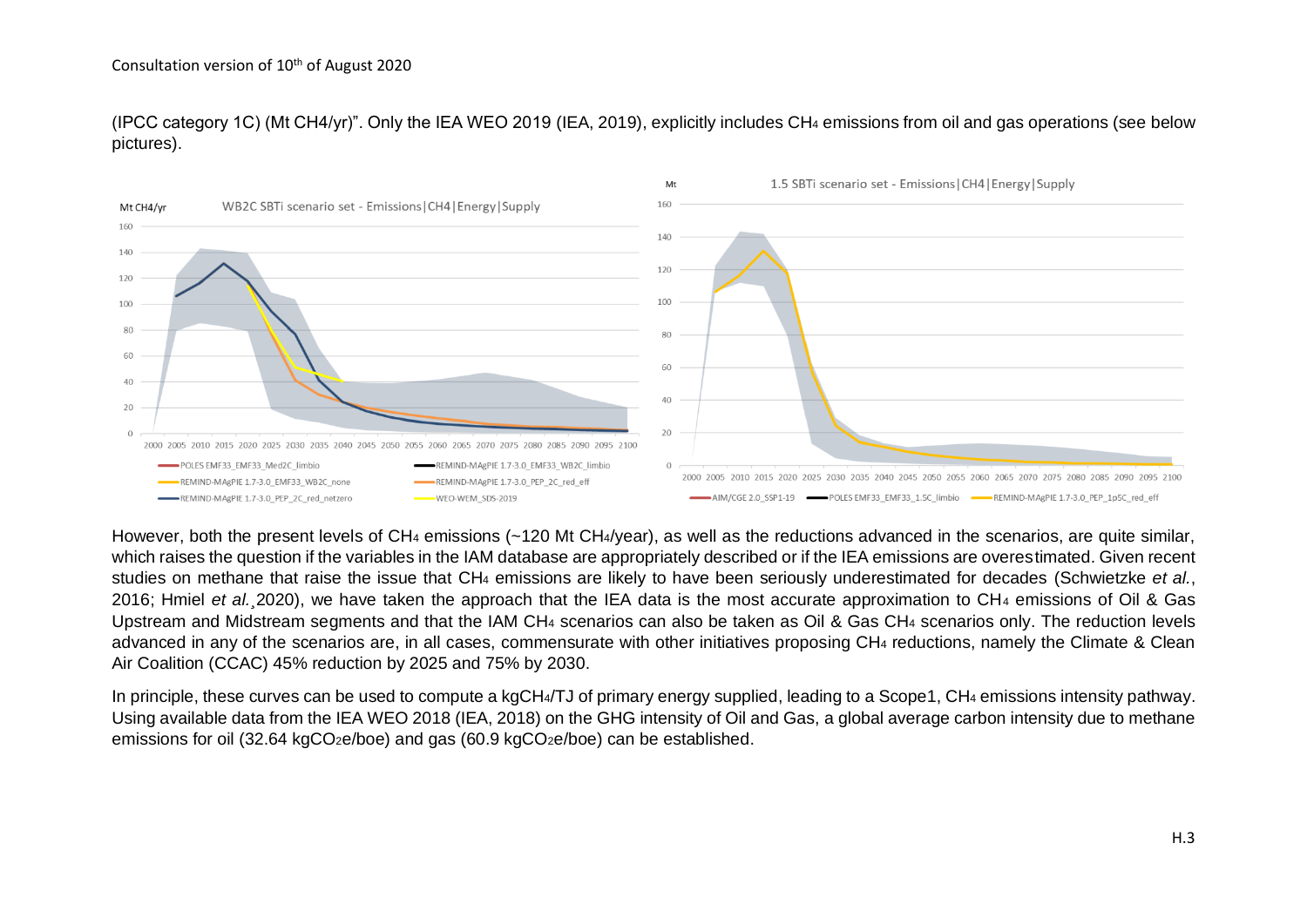(IPCC category 1C) (Mt CH4/yr)". Only the IEA WEO 2019 (IEA, 2019), explicitly includes CH<sup>4</sup> emissions from oil and gas operations (see below pictures).



However, both the present levels of CH<sup>4</sup> emissions (~120 Mt CH4/year), as well as the reductions advanced in the scenarios, are quite similar, which raises the question if the variables in the IAM database are appropriately described or if the IEA emissions are overestimated. Given recent studies on methane that raise the issue that CH<sup>4</sup> emissions are likely to have been seriously underestimated for decades (Schwietzke *et al.*, 2016; Hmiel *et al.¸*2020), we have taken the approach that the IEA data is the most accurate approximation to CH<sup>4</sup> emissions of Oil & Gas Upstream and Midstream segments and that the IAM CH<sup>4</sup> scenarios can also be taken as Oil & Gas CH<sup>4</sup> scenarios only. The reduction levels advanced in any of the scenarios are, in all cases, commensurate with other initiatives proposing CH<sup>4</sup> reductions, namely the Climate & Clean Air Coalition (CCAC) 45% reduction by 2025 and 75% by 2030.

In principle, these curves can be used to compute a kgCH<sub>4</sub>/TJ of primary energy supplied, leading to a Scope1, CH<sub>4</sub> emissions intensity pathway. Using available data from the IEA WEO 2018 (IEA, 2018) on the GHG intensity of Oil and Gas, a global average carbon intensity due to methane emissions for oil (32.64 kgCO<sub>2</sub>e/boe) and gas (60.9 kgCO<sub>2</sub>e/boe) can be established.